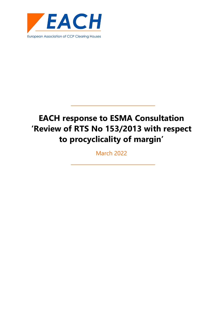

# **EACH response to ESMA Consultation 'Review of RTS No 153/2013 with respect to procyclicality of margin'**

March 2022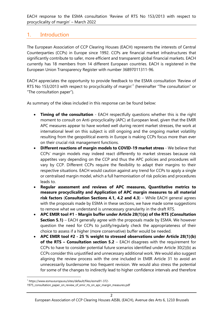# 1. Introduction

The European Association of CCP Clearing Houses (EACH) represents the interests of Central Counterparties (CCPs) in Europe since 1992. CCPs are financial market infrastructures that significantly contribute to safer, more efficient and transparent global financial markets. EACH currently has 18 members from 14 different European countries. EACH is registered in the European Union Transparency Register with number 36897011311-96.

EACH appreciates the opportunity to provide feedback to the ESMA consultation 'Review of RTS No [1](#page-1-0)53/2013 with respect to procyclicality of margin'<sup>1</sup> (hereinafter "The consultation" or "The consultation paper").

As summary of the ideas included in this response can be found below:

- **Timing of the consultation** EACH respectfully questions whether this is the right moment to consult on Anti-procyclicality (APC) at European level, given that the EMIR APC measures appear to have worked well during recent market stresses, the work at international level on this subject is still ongoing and the ongoing market volatility resulting from the geopolitical events in Europe is making CCPs focus more than ever on their crucial risk management functions.
- **Different reactions of margin models to COVID-19 market stress** We believe that CCPs' margin models may indeed react differently to market stresses because risk appetites vary depending on the CCP and thus the APC policies and procedures will vary by CCP. Different CCPs require the flexibility to adapt their margins to their respective situations. EACH would caution against any trend for CCPs to apply a single or centralised margin model, which a full harmonisation of risk policies and procedures leads to.
- **Regular assessment and reviews of APC measures, Quantitative metrics to measure procyclicality and Application of APC margin measures to all material risk factors** (**Consultation Sections 4.1, 4.2 and 4.3**) – While EACH general agrees with the proposals made by ESMA in these sections, we have made some suggestions to remove what we understand is unnecessary granularity in the draft RTS.
- **APC EMIR tool #1 Margin buffer under Article 28(1)(a) of the RTS (Consultation Section 5.1)** – EACH generally agree with the proposals made by ESMA. We however question the need for CCPs to justify/regularly check the appropriateness of their choice to assess if a higher (more conservative) buffer would be needed.
- **APC EMIR tool #2 25 % weight to stressed observations under Article 28(1)(b) of the RTS – Consultation section 5.2** – EACH disagrees with the requirement for CCPs to have to consider potential future scenarios identified under Article 30(2)(b) as CCPs consider this unjustified and unnecessary additional work. We would also suggest aligning the review process with the one included in EMIR Article 31 to avoid an unnecessarily burdensome too frequent revision. We would also stress the potential for some of the changes to indirectly lead to higher confidence intervals and therefore

<span id="page-1-0"></span><sup>1</sup> https://www.esma.europa.eu/sites/default/files/esma91-372-

<sup>1975</sup>\_consultation\_paper\_on\_review\_of\_emir\_rts\_on\_apc\_margin\_measures.pdf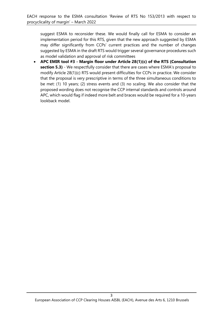suggest ESMA to reconsider these. We would finally call for ESMA to consider an implementation period for this RTS, given that the new approach suggested by ESMA may differ significantly from CCPs' current practices and the number of changes suggested by ESMA in the draft RTS would trigger several governance procedures such as model validation and approval of risk committees

• **APC EMIR tool #3 - Margin floor under Article 28(1)(c) of the RTS (Consultation section 5.3)** - We respectfully consider that there are cases where ESMA's proposal to modify Article 28(1)(c) RTS would present difficulties for CCPs in practice. We consider that the proposal is very prescriptive in terms of the three simultaneous conditions to be met: (1) 10 years; (2) stress events and (3) no scaling. We also consider that the proposed wording does not recognise the CCP internal standards and controls around APC, which would flag if indeed more belt and braces would be required for a 10-years lookback model.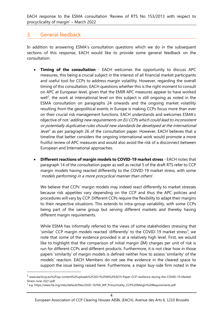# 3. General feedback

In addition to answering ESMA's consultation questions which we do in the subsequent sections of this response, EACH would like to provide some general feedback on the consultation:

- **Timing of the consultation**  EACH welcomes the opportunity to discuss APC measures, this being a crucial subject in the interest of all financial market participants and useful tool for CCPs to address margin volatility. However, regarding the overall timing of this consultation, EACH questions whether this is the right moment to consult on APC at European level, given that the EMIR APC measures appear to have worked well<sup>[2](#page-3-0)</sup>, the work at international level on this subject is still ongoing as noted in the ESMA consultation on paragraphs 24 onwards and the ongoing market volatility resulting from the geopolitical events in Europe is making CCPs focus more than ever on their crucial risk management functions. EACH understands and welcomes ESMA's objective of not 'adding new requirements on EU CCPs which could lead to inconsistent or potentially duplicative rules should new standards be developed at the international level' as per paragraph 26 of the consultation paper. However, EACH believes that a timeline that better considers the ongoing international work would promote a more fruitful review of APC measures and would also avoid the risk of a disconnect between European and International approaches.
- **Different reactions of margin models to COVID-19 market stress** EACH notes that paragraph 14 of the consultation paper as well as recital 5 of the draft RTS refer to CCP margin models having reacted differently to the COVID-19 market stress, with some 'models performing in a more procyclical manner than others'.

We believe that CCPs' margin models may indeed react differently to market stresses because risk appetites vary depending on the CCP and thus the APC policies and procedures will vary by CCP. Different CCPs require the flexibility to adapt their margins to their respective situations. This extends to intra-group variability, with some CCPs being part of the same group but serving different markets and thereby having different margin requirements.

While ESMA has informally referred to the views of some stakeholders stressing that 'similar' CCP margin models reacted 'differently' to the COVID-19 market stress<sup>[3](#page-3-1)</sup>, we note that some of the evidence provided is at a relatively high level. First, we would like to highlight that the comparison of initial margin (IM) charges per unit of risk is run for different CCPs and different products. Furthermore, it is not clear how in those papers 'similarity' of margin models is defined neither how to assess 'similarity' of the models' reaction. EACH Members do not see the evidence in the cleared space to support the issue being raised here. Furthermore, a major buy-side firm noted in the

<span id="page-3-0"></span><sup>2</sup> www.eachccp.eu%2Fwp-content%2Fuploads%2F2021%2F06%2FEACH-Paper-CCP-resilience-during-the-COVID-19-Market-Stress-June-2021.pdf

<span id="page-3-1"></span><sup>&</sup>lt;sup>3</sup> e.g. https://www.fia.org/sites/default/files/2020-10/FIA\_WP\_Procyclicality\_CCP%20Margin%20Requirements.pdf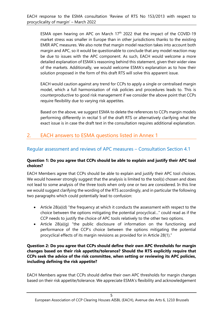ESMA open hearing on APC on March  $17<sup>th</sup>$  2022 that the impact of the COVID-19 market stress was smaller in Europe than in other jurisdictions thanks to the existing EMIR APC measures. We also note that margin model reaction takes into account both margin and APC, so it would be questionable to conclude that any model reaction may be due to issues with the APC component. As such, EACH would welcome a more detailed explanation of ESMA's reasoning behind this statement, given their wider view of the markets. Additionally, we would welcome ESMA's explanation as to how their solution proposed in the form of this draft RTS will solve this apparent issue.

EACH would caution against any trend for CCPs to apply a single or centralised margin model, which a full harmonisation of risk policies and procedures leads to. This is counterproductive to good risk management if we consider the above point that CCPs require flexibility due to varying risk appetites.

Based on the above, we suggest ESMA to delete the references to CCPs margin models performing differently in recital 5 of the draft RTS or alternatively clarifying what the exact issue is in case the draft text in the consultation requires additional explanation.

# 2. EACH answers to ESMA questions listed in Annex 1

### Regular assessment and reviews of APC measures – Consultation Section 4.1

#### **Question 1: Do you agree that CCPs should be able to explain and justify their APC tool choices?**

EACH Members agree that CCPs should be able to explain and justify their APC tool choices. We would however strongly suggest that the analysis is limited to the tool(s) chosen and does not lead to some analysis of the three tools when only one or two are considered. In this line we would suggest clarifying the wording of the RTS accordingly, and in particular the following two paragraphs which could potentially lead to confusion:

- Article 28(a)(d) "the frequency at which it conducts the assessment with respect to the choice between the options mitigating the potential procyclical…" could read as if the CCP needs to justify the choice of APC tools relatively to the other two options.
- Article 28(a)(g) "the public disclosure of information on the functioning and performance of the CCP's choice between the options mitigating the potential procyclical effects of its margin revisions as provided for in Article 28(1)."

#### **Question 2: Do you agree that CCPs should define their own APC thresholds for margin changes based on their risk appetite/tolerance? Should the RTS explicitly require that CCPs seek the advice of the risk committee, when setting or reviewing its APC policies, including defining the risk appetite?**

EACH Members agree that CCPs should define their own APC thresholds for margin changes based on their risk appetite/tolerance. We appreciate ESMA's flexibility and acknowledgement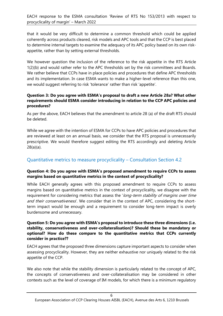that it would be very difficult to determine a common threshold which could be applied coherently across products cleared, risk models and APC tools and that the CCP is best placed to determine internal targets to examine the adequacy of its APC policy based on its own riskappetite, rather than by setting external thresholds.

We however question the inclusion of the reference to the risk appetite in the RTS Article 1(2)(b) and would rather refer to the APC thresholds set by the risk committees and Boards. We rather believe that CCPs have in place policies and procedures that define APC thresholds and its implementation. In case ESMA wants to make a higher-level reference than this one, we would suggest referring to risk 'tolerance' rather than risk 'appetite'.

#### **Question 3: Do you agree with ESMA's proposal to draft a new Article 28a? What other requirements should ESMA consider introducing in relation to the CCP APC policies and procedures?**

As per the above, EACH believes that the amendment to article 28 (a) of the draft RTS should be deleted.

While we agree with the intention of ESMA for CCPs to have APC policies and procedures that are reviewed at least on an annual basis, we consider that the RTS proposal is unnecessarily prescriptive. We would therefore suggest editing the RTS accordingly and deleting Article 28(a)(a).

## Quantitative metrics to measure procyclicality – Consultation Section 4.2

#### **Question 4: Do you agree with ESMA's proposed amendment to require CCPs to assess margins based on quantitative metrics in the context of procyclicality?**

While EACH generally agrees with this proposed amendment to require CCPs to assess margins based on quantitative metrics in the context of procyclicality, we disagree with the requirement for considering metrics that assess the 'long-term stability of margins over time and their conservativeness'. We consider that in the context of APC, considering the shortterm impact would be enough and a requirement to consider long-term impact is overly burdensome and unnecessary.

#### **Question 5: Do you agree with ESMA's proposal to introduce these three dimensions (i.e. stability, conservativeness and over-collateralisation)? Should these be mandatory or optional? How do these compare to the quantitative metrics that CCPs currently consider in practice??**

EACH agrees that the proposed three dimensions capture important aspects to consider when assessing procyclicality. However, they are neither exhaustive nor uniquely related to the risk appetite of the CCP.

We also note that while the stability dimension is particularly related to the concept of APC, the concepts of conservativeness and over-collateralisation may be considered in other contexts such as the level of coverage of IM models, for which there is a minimum regulatory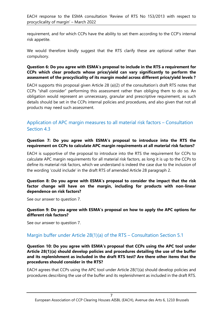requirement, and for which CCPs have the ability to set them according to the CCP's internal risk appetite.

We would therefore kindly suggest that the RTS clarify these are optional rather than compulsory.

#### **Question 6: Do you agree with ESMA's proposal to include in the RTS a requirement for CCPs which clear products whose price/yield can vary significantly to perform the assessment of the procyclicality of its margin model across different price/yield levels ?**

EACH supports this proposal given Article 28 (a)(2) of the consultation's draft RTS notes that CCPs "shall consider" performing this assessment rather than obliging them to do so. An obligation would represent an unnecessary, granular and prescriptive requirement, as such details should be set in the CCPs internal policies and procedures, and also given that not all products may need such assessment.

## Application of APC margin measures to all material risk factors – Consultation Section 4.3

#### **Question 7: Do you agree with ESMA's proposal to introduce into the RTS the requirement on CCPs to calculate APC margin requirements at all material risk factors?**

EACH is supportive of the proposal to introduce into the RTS the requirement for CCPs to calculate APC margin requirements for all material risk factors, as long it is up to the CCPs to define its material risk factors, which we understand is indeed the case due to the inclusion of the wording 'could include' in the draft RTS of amended Article 28 paragraph 2.

#### **Question 8: Do you agree with ESMA's proposal to consider the impact that the risk factor change will have on the margin, including for products with non-linear dependence on risk factors?**

See our answer to question 7.

#### **Question 9: Do you agree with ESMA's proposal on how to apply the APC options for different risk factors?**

See our answer to question 7.

## Margin buffer under Article 28(1)(a) of the RTS – Consultation Section 5.1

#### **Question 10: Do you agree with ESMA's proposal that CCPs using the APC tool under Article 28(1)(a) should develop policies and procedures detailing the use of the buffer and its replenishment as included in the draft RTS test? Are there other items that the procedures should consider in the RTS?**

EACH agrees that CCPs using the APC tool under Article 28(1)(a) should develop policies and procedures describing the use of the buffer and its replenishment as included in the draft RTS.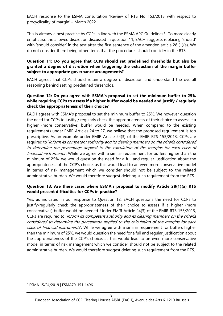This is already a best practice by CCPs in line with the ESMA APC Guidelines<sup>[4](#page-7-0)</sup>. To more clearly emphasise the allowed discretion discussed in question 11, EACH suggests replacing 'should' with 'should consider' in the text after the first sentence of the amended article 28 (1)(a). We do not consider there being other items that the procedures should consider in the RTS.

#### **Question 11: Do you agree that CCPs should set predefined thresholds but also be granted a degree of discretion when triggering the exhaustion of the margin buffer subject to appropriate governance arrangements?**

EACH agrees that CCPs should retain a degree of discretion and understand the overall reasoning behind setting predefined thresholds.

#### **Question 12: Do you agree with ESMA's proposal to set the minimum buffer to 25% while requiring CCPs to assess if a higher buffer would be needed and justify / regularly check the appropriateness of their choice?**

EACH agrees with ESMA's proposal to set the minimum buffer to 25%. We however question the need for CCPs to justify / regularly check the appropriateness of their choice to assess if a higher (more conservative) buffer would be needed. When compared to the existing requirements under EMIR Articles 24 to 27, we believe that the proposed requirement is too prescriptive. As an example under EMIR Article 24(3) of the EMIR RTS 153/2013, CCPs are required to 'inform its competent authority and its clearing members on the criteria considered to determine the percentage applied to the calculation of the margins for each class of financial instruments'. While we agree with a similar requirement for buffers higher than the minimum of 25%, we would question the need for a full and regular justification about the appropriateness of the CCP's choice, as this would lead to an even more conservative model in terms of risk management which we consider should not be subject to the related administrative burden. We would therefore suggest deleting such requirement from the RTS.

#### **Question 13: Are there cases where ESMA's proposal to modify Article 28(1)(a) RTS would present difficulties for CCPs in practice?**

Yes, as indicated in our response to Question 12, EACH questions the need for CCPs to justify/regularly check the appropriateness of their choice to assess if a higher (more conservatives) buffer would be needed. Under EMIR Article 24(3) of the EMIR RTS 153/2013, CCPs are required to 'inform its competent authority and its clearing members on the criteria considered to determine the percentage applied to the calculation of the margins for each class of financial instruments'. While we agree with a similar requirement for buffers higher than the minimum of 25%, we would question the need for a full and regular justification about the appropriateness of the CCP's choice, as this would lead to an even more conservative model in terms of risk management which we consider should not be subject to the related administrative burden. We would therefore suggest deleting such requirement from the RTS.

<span id="page-7-0"></span><sup>4</sup> ESMA 15/04/2019 | ESMA70-151-1496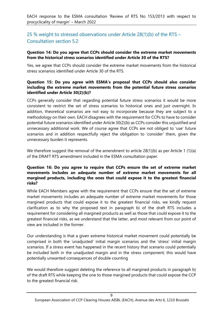EACH response to the ESMA consultation 'Review of RTS No 153/2013 with respect to procyclicality of margin' – March 2022

## 25 % weight to stressed observations under Article 28(1)(b) of the RTS – Consultation section 5.2

#### **Question 14: Do you agree that CCPs should consider the extreme market movements from the historical stress scenarios identified under Article 30 of the RTS?**

Yes, we agree that CCPs should consider the extreme market movements from the historical stress scenarios identified under Article 30 of the RTS.

#### **Question 15: Do you agree with ESMA's proposal that CCPs should also consider including the extreme market movements from the potential future stress scenarios identified under Article 30(2)(b)?**

CCPs generally consider that regarding potential future stress scenarios it would be more consistent to restrict the set of stress scenarios to historical ones and just overnight. In addition, theoretical scenarios are not easy to incorporate because they are subject to a methodology on their own. EACH disagrees with the requirement for CCPs to have to consider potential future scenarios identified under Article 30(2)(b) as CCPs consider this unjustified and unnecessary additional work. We of course agree that CCPs are not obliged to 'use' future scenarios and in addition respectfully reject the obligation to 'consider' them, given the unnecessary burden it represents.

We therefore suggest the removal of the amendment to article 28(1)(b) as per Article 1 (1)(a) of the DRAFT RTS amendment included in the ESMA consultation paper.

#### **Question 16: Do you agree to require that CCPs ensure the set of extreme market movements includes an adequate number of extreme market movements for all margined products, including the ones that could expose it to the greatest financial risks?**

While EACH Members agree with the requirement that CCPs ensure that the set of extreme market movements includes an adequate number of extreme market movements for those margined products that could expose it to the greatest financial risks, we kindly request clarification as to why the proposed text in paragraph b) of the draft RTS includes a requirement for considering all margined products as well as those that could expose it to the greatest financial risks, as we understand that the latter, and most relevant from our point of view are included in the former.

Our understanding is that a given extreme historical market movement could potentially be comprised in both the 'unadjusted' initial margin scenarios and the 'stress' initial margin scenarios. If a stress event has happened in the recent history that scenario could potentially be included both in the unadjusted margin and in the stress component; this would have potentially unwanted consequences of double counting

We would therefore suggest deleting the reference to all margined products in paragraph b) of the draft RTS while keeping the one to those margined products that could expose the CCP to the greatest financial risk.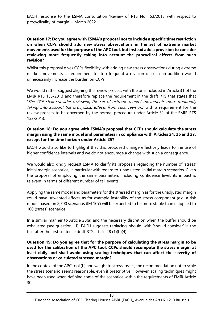#### **Question 17: Do you agree with ESMA's proposal not to include a specific time restriction on when CCPs should add new stress observations in the set of extreme market movements used for the purpose of the APC tool, but instead add a provision to consider reviewing more frequently taking into account the procyclical effects from such revision?**

Whilst this proposal gives CCPs flexibility with adding new stress observations during extreme market movements, a requirement for too frequent a revision of such an addition would unnecessarily increase the burden on CCPs.

We would rather suggest aligning the review process with the one included in Article 31 of the EMIR RTS 153/2013 and therefore replace the requirement in the draft RTS that states that 'The CCP shall consider reviewing the set of extreme market movements more frequently taking into account the procyclical effects from such revision.' with a requirement for the review process to be governed by the normal procedure under Article 31 of the EMIR RTS 153/2013.

#### **Question 18: Do you agree with ESMA's proposal that CCPs should calculate the stress margin using the same model and parameters in compliance with Articles 24, 26 and 27, except for the time horizon under Article 25?**

EACH would also like to highlight that this proposed change effectively leads to the use of higher confidence intervals and we do not encourage a change with such a consequence.

We would also kindly request ESMA to clarify its proposals regarding the number of 'stress' initial margin scenarios, in particular with regard to 'unadjusted' initial margin scenarios. Given the proposal of employing the same parameters, including confidence level, its impact is relevant in terms of different number of tail events.

Applying the same model and parameters for the stressed margin as for the unadjusted margin could have unwanted effects as for example instability of the stress component (e.g. a risk model based on 2,500 scenarios (IM 10Y) will be expected to be more stable than if applied to 100 (stress) scenarios.

In a similar manner to Article 28(a) and the necessary discretion when the buffer should be exhausted (see question 11), EACH suggests replacing 'should' with 'should consider' in the text after the first sentence draft RTS article 28 (1)(b)(4).

#### **Question 19: Do you agree that for the purpose of calculating the stress margin to be used for the calibration of the APC tool, CCPs should recompute the stress margin at least daily and shall avoid using scaling techniques that can affect the severity of observations or calculated stressed margin?**

In the context of the APC tool (b) and weight to stress losses, the recommendation not to scale the stress scenario seems reasonable, even if prescriptive. However, scaling techniques might have been used when defining some of the scenarios within the requirements of EMIR Article 30.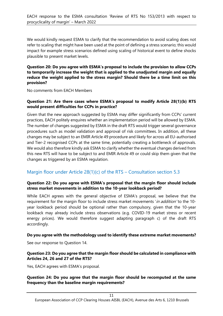We would kindly request ESMA to clarify that the recommendation to avoid scaling does not refer to scaling that might have been used at the point of defining a stress scenario; this would impact for example stress scenarios defined using scaling of historical event to define shocks plausible to present market levels.

#### **Question 20: Do you agree with ESMA's proposal to include the provision to allow CCPs to temporarily increase the weight that is applied to the unadjusted margin and equally reduce the weight applied to the stress margin? Should there be a time limit on this provision?**

No comments from EACH Members

#### **Question 21: Are there cases where ESMA's proposal to modify Article 28(1)(b) RTS would present difficulties for CCPs in practice?**

Given that the new approach suggested by ESMA may differ significantly from CCPs' current practices, EACH politely enquires whether an implementation period will be allowed by ESMA. The number of changes suggested by ESMA in the draft RTS would trigger several governance procedures such as model validation and approval of risk committees. In addition, all these changes may be subject to an EMIR Article 49 procedure and likely for across all EU-authorised and Tier-2 recognised CCPs at the same time, potentially creating a bottleneck of approvals. We would also therefore kindly ask ESMA to clarify whether the eventual changes derived from this new RTS will have to be subject to and EMIR Article 49 or could skip them given that the changes as triggered by an ESMA regulation.

## Margin floor under Article 28(1)(c) of the RTS – Consultation section 5.3

#### **Question 22: Do you agree with ESMA's proposal that the margin floor should include stress market movements in addition to the 10-year lookback period?**

While EACH agrees with the general objective of ESMA's proposal, we believe that the requirement for the margin floor to include stress market movements 'in addition' to the 10year lookback period should be optional rather than compulsory, given that the 10-year lookback may already include stress observations (e.g. COVID-19 market stress or recent energy prices). We would therefore suggest adapting paragraph c) of the draft RTS accordingly.

#### **Do you agree with the methodology used to identify these extreme market movements?**

See our response to Question 14.

#### **Question 23: Do you agree that the margin floor should be calculated in compliance with Articles 24, 26 and 27 of the RTS?**

Yes, EACH agrees with ESMA's proposal.

#### **Question 24: Do you agree that the margin floor should be recomputed at the same frequency than the baseline margin requirements?**